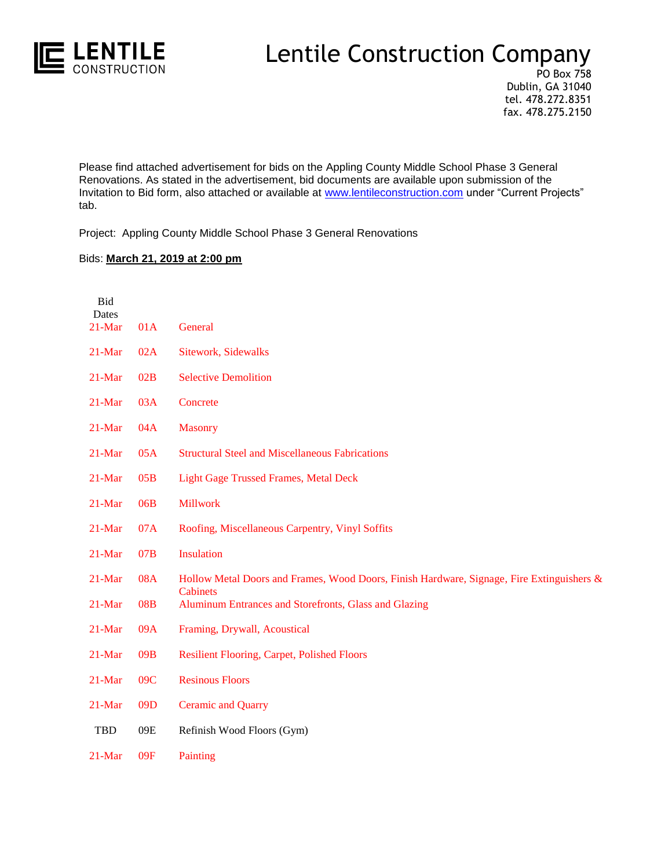

## Lentile Construction Company

PO Box 758 Dublin, GA 31040 tel. 478.272.8351 fax. 478.275.2150

Please find attached advertisement for bids on the Appling County Middle School Phase 3 General Renovations. As stated in the advertisement, bid documents are available upon submission of the Invitation to Bid form, also attached or available at [www.lentileconstruction.com](http://www.lentileconstruction.com/) under "Current Projects" tab.

Project: Appling County Middle School Phase 3 General Renovations

## Bids: **March 21, 2019 at 2:00 pm**

| Bid<br>Dates |            |                                                                                                              |
|--------------|------------|--------------------------------------------------------------------------------------------------------------|
| $21-Mar$     | 01A        | General                                                                                                      |
| 21-Mar       | 02A        | <b>Sitework, Sidewalks</b>                                                                                   |
| $21$ -Mar    | 02B        | <b>Selective Demolition</b>                                                                                  |
| $21$ -Mar    | 03A        | Concrete                                                                                                     |
| $21$ -Mar    | 04A        | <b>Masonry</b>                                                                                               |
| $21$ -Mar    | 05A        | <b>Structural Steel and Miscellaneous Fabrications</b>                                                       |
| $21$ -Mar    | 05B        | <b>Light Gage Trussed Frames, Metal Deck</b>                                                                 |
| $21$ -Mar    | 06B        | <b>Millwork</b>                                                                                              |
| 21-Mar       | 07A        | Roofing, Miscellaneous Carpentry, Vinyl Soffits                                                              |
| $21$ -Mar    | 07B        | Insulation                                                                                                   |
| $21$ -Mar    | <b>08A</b> | Hollow Metal Doors and Frames, Wood Doors, Finish Hardware, Signage, Fire Extinguishers &<br><b>Cabinets</b> |
| $21$ -Mar    | 08B        | Aluminum Entrances and Storefronts, Glass and Glazing                                                        |
| $21$ -Mar    | 09A        | Framing, Drywall, Acoustical                                                                                 |
| $21$ -Mar    | 09B        | <b>Resilient Flooring, Carpet, Polished Floors</b>                                                           |
| 21-Mar       | 09C        | <b>Resinous Floors</b>                                                                                       |
| 21-Mar       | 09D        | <b>Ceramic and Quarry</b>                                                                                    |
| TBD          | 09E        | Refinish Wood Floors (Gym)                                                                                   |
| 21-Mar       | 09F        | Painting                                                                                                     |